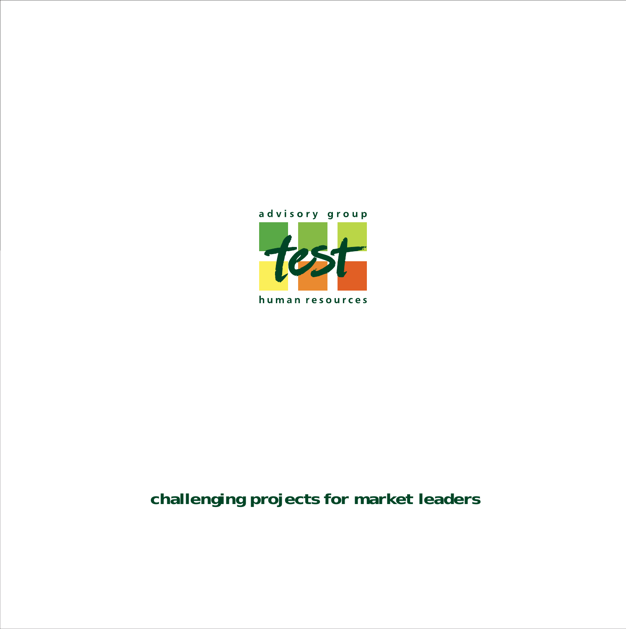

#### **challenging projects for market leaders**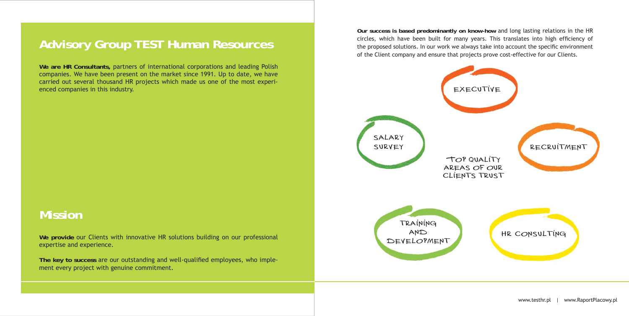#### **Advisory Group TEST Human Resources**

**We are HR Consultants,** partners of international corporations and leading Polish companies. We have been present on the market since 1991. Up to date, we have carried out several thousand HR projects which made us one of the most experienced companies in this industry.

The key to success are our outstanding and well-qualified employees, who implement every project with genuine commitment.

#### **Mission**

**We provide** our Clients with innovative HR solutions building on our professional expertise and experience.

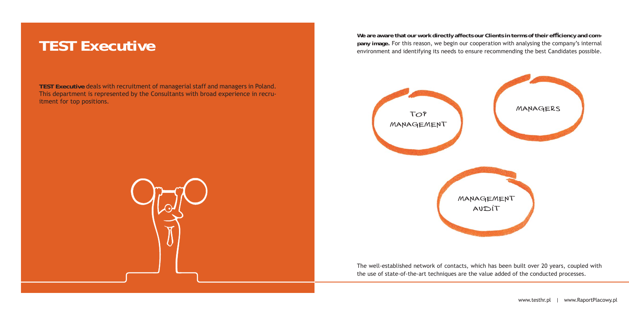We are aware that our work directly affects our Clients in terms of their efficiency and com**pany image.** For this reason, we begin our cooperation with analysing the company's internal environment and identifying its needs to ensure recommending the best Candidates possible.

The well-established network of contacts, which has been built over 20 years, coupled with the use of state-of-the-art techniques are the value added of the conducted processes.

**TEST Executive** deals with recruitment of managerial staff and managers in Poland. This department is represented by the Consultants with broad experience in recruitment for top positions.



## **TEST Executive**





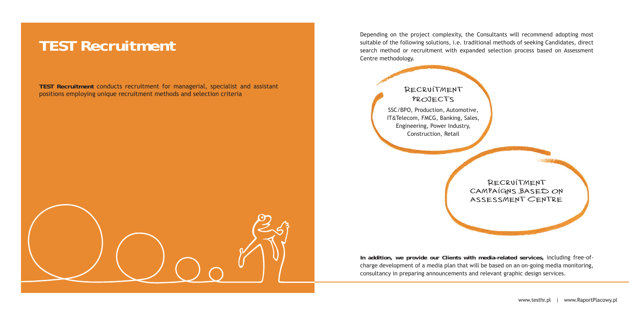Depending on the project complexity, the Consultants will recommend adopting most suitable of the following solutions, i.e. traditional methods of seeking Candidates, direct search method or recruitment with expanded selection process based on Assessment Centre methodology.

**In addition, we provide our Clients with media-related services,** including free-ofcharge development of a media plan that will be based on an on-going media monitoring, consultancy in preparing announcements and relevant graphic design services.

**TEST Recruitment** conducts recruitment for managerial, specialist and assistant positions employing unique recruitment methods and selection criteria

#### **TEST Recruitment**

Recruitment PROJECTS SSC/BPO, Production, Automotive, IT&Telecom, FMCG, Banking, Sales, Engineering, Power Industry, Construction, Retail

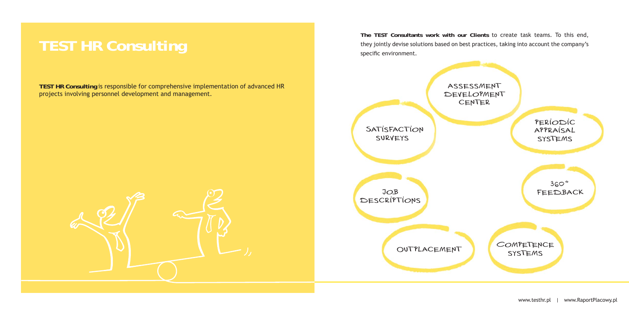**TEST HR Consulting** is responsible for comprehensive implementation of advanced HR projects involving personnel development and management.

**The TEST Consultants work with our Clients** to create task teams. To this end, they jointly devise solutions based on best practices, taking into account the company's specific environment.

# **TEST HR Consulting**



periodic appraisal systems **COMPETENCE** 360° feedback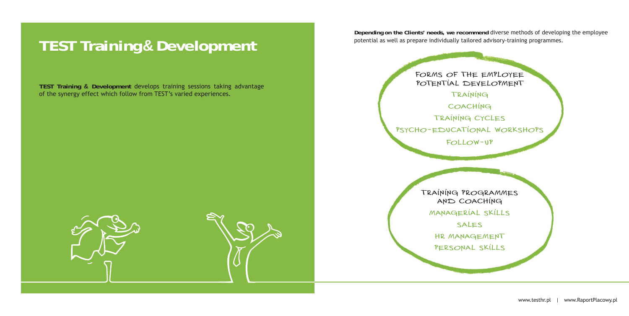**Depending on the Clients' needs, we recommend** diverse methods of developing the employee potential as well as prepare individually tailored advisory-training programmes.

> FORMS OF THE EMPLOYEE POTENTIAL DEVELOPMENT training COACHING training cycles psycho-educational workshops follow-up

**TEST Training & Development** develops training sessions taking advantage of the synergy effect which follow from TEST's varied experiences.

## **TEST Training & Development**

training programmes and coaching managerial skills sales hr management personal skills



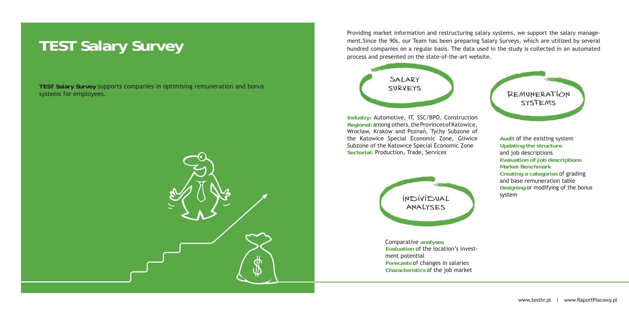**TEST Salary Survey** supports companies in optimising remuneration and bonus systems for employees.

### **TEST Salary Survey**







Providing market information and restructuring salary systems, we support the salary manage-

ment.Since the 90s, our Team has been preparing Salary Surveys, which are utilized by several hundred companies on a regular basis. The data used in the study is collected in an automated process and presented on the state-of-the-art website.

**Industry:** Automotive, IT, SSC/BPO, Construction **Regional:** among others, the Provinces of Katowice, Wrocław, Kraków and Poznań, Tychy Subzone of the Katowice Special Economic Zone, Gliwice Subzone of the Katowice Special Economic Zone **Sectorial:** Production, Trade, Services

**Audit** of the existing system **Updating the structure**  and job descriptions **Evaluation of job descriptions Market BenchmarkCreating a categories** of grading and base remuneration table **Designing** or modifying of the bonus system

Comparative **analyses Evaluation** of the location's investment potential **Forecasts** of changes in salaries **Characteristics** of the job market